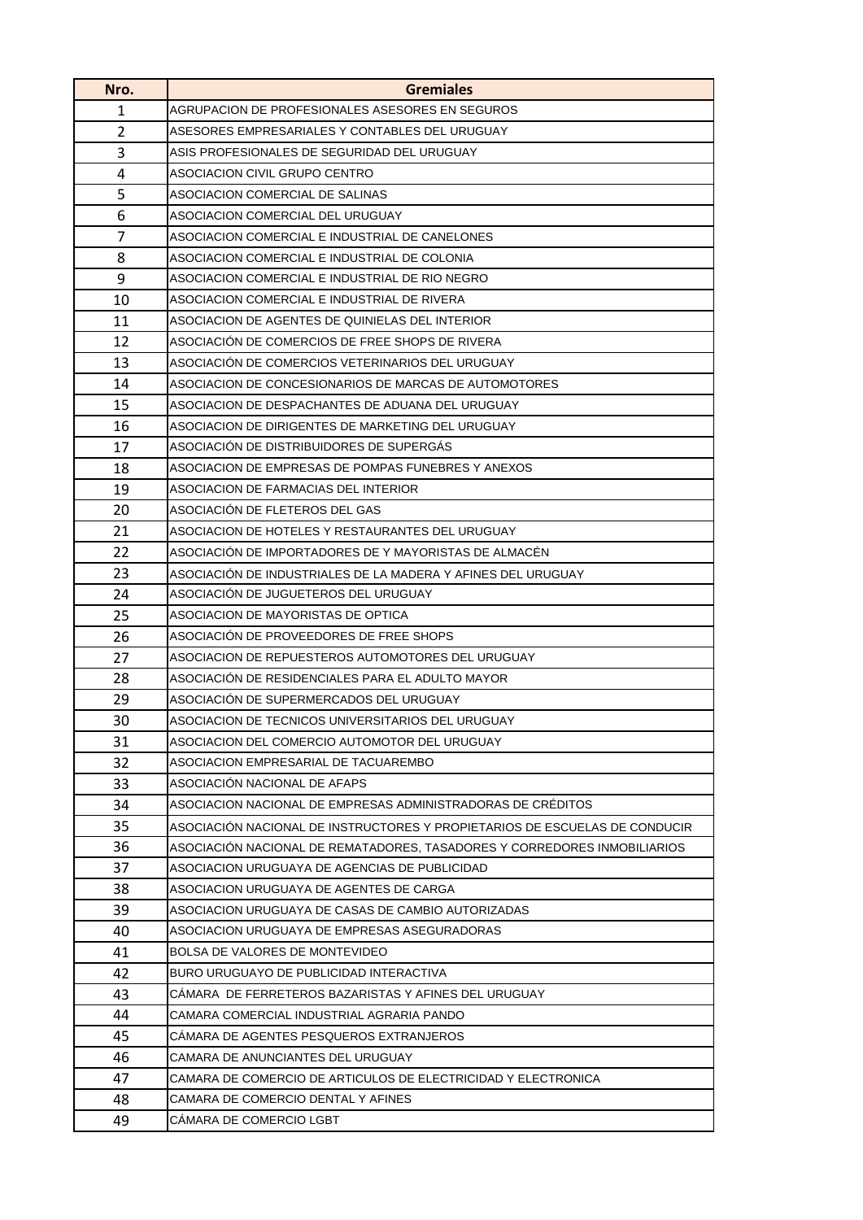| Nro. | <b>Gremiales</b>                                                           |
|------|----------------------------------------------------------------------------|
| 1    | AGRUPACION DE PROFESIONALES ASESORES EN SEGUROS                            |
| 2    | ASESORES EMPRESARIALES Y CONTABLES DEL URUGUAY                             |
| 3    | ASIS PROFESIONALES DE SEGURIDAD DEL URUGUAY                                |
| 4    | ASOCIACION CIVIL GRUPO CENTRO                                              |
| 5    | ASOCIACION COMERCIAL DE SALINAS                                            |
| 6    | ASOCIACION COMERCIAL DEL URUGUAY                                           |
| 7    | ASOCIACION COMERCIAL E INDUSTRIAL DE CANELONES                             |
| 8    | ASOCIACION COMERCIAL E INDUSTRIAL DE COLONIA                               |
| 9    | ASOCIACION COMERCIAL E INDUSTRIAL DE RIO NEGRO                             |
| 10   | ASOCIACION COMERCIAL E INDUSTRIAL DE RIVERA                                |
| 11   | ASOCIACION DE AGENTES DE QUINIELAS DEL INTERIOR                            |
| 12   | ASOCIACION DE COMERCIOS DE FREE SHOPS DE RIVERA                            |
| 13   | ASOCIACIÓN DE COMERCIOS VETERINARIOS DEL URUGUAY                           |
| 14   | ASOCIACION DE CONCESIONARIOS DE MARCAS DE AUTOMOTORES.                     |
| 15   | ASOCIACION DE DESPACHANTES DE ADUANA DEL URUGUAY                           |
| 16   | ASOCIACION DE DIRIGENTES DE MARKETING DEL URUGUAY                          |
| 17   | ASOCIACION DE DISTRIBUIDORES DE SUPERGAS                                   |
| 18   | ASOCIACION DE EMPRESAS DE POMPAS FUNEBRES Y ANEXOS                         |
| 19   | ASOCIACION DE FARMACIAS DEL INTERIOR                                       |
| 20   | ASOCIACIÓN DE FLETEROS DEL GAS                                             |
| 21   | ASOCIACION DE HOTELES Y RESTAURANTES DEL URUGUAY                           |
| 22   | ASOCIACION DE IMPORTADORES DE Y MAYORISTAS DE ALMACEN.                     |
| 23   | ASOCIACIÓN DE INDUSTRIALES DE LA MADERA Y AFINES DEL URUGUAY               |
| 24   | ASOCIACION DE JUGUETEROS DEL URUGUAY                                       |
| 25   | ASOCIACION DE MAYORISTAS DE OPTICA                                         |
| 26   | ASOCIACION DE PROVEEDORES DE FREE SHOPS                                    |
| 27   | ASOCIACION DE REPUESTEROS AUTOMOTORES DEL URUGUAY                          |
| 28   | ASOCIACION DE RESIDENCIALES PARA EL ADULTO MAYOR                           |
| 29   | ASOCIACIÓN DE SUPERMERCADOS DEL URUGUAY                                    |
| 30   | ASOCIACION DE TECNICOS UNIVERSITARIOS DEL URUGUAY                          |
| 31   | ASOCIACION DEL COMERCIO AUTOMOTOR DEL URUGUAY                              |
| 32   | ASOCIACION EMPRESARIAL DE TACUAREMBO                                       |
| 33   | ASOCIACION NACIONAL DE AFAPS                                               |
| 34   | ASOCIACION NACIONAL DE EMPRESAS ADMINISTRADORAS DE CREDITOS                |
| 35   | ASOCIACION NACIONAL DE INSTRUCTORES Y PROPIETARIOS DE ESCUELAS DE CONDUCIR |
| 36   | ASOCIACION NACIONAL DE REMATADORES, TASADORES Y CORREDORES INMOBILIARIOS   |
| 37   | ASOCIACION URUGUAYA DE AGENCIAS DE PUBLICIDAD                              |
| 38   | ASOCIACION URUGUAYA DE AGENTES DE CARGA                                    |
| 39   | ASOCIACION URUGUAYA DE CASAS DE CAMBIO AUTORIZADAS                         |
| 40   | ASOCIACION URUGUAYA DE EMPRESAS ASEGURADORAS                               |
| 41   | BOLSA DE VALORES DE MONTEVIDEO                                             |
| 42   | BURO URUGUAYO DE PUBLICIDAD INTERACTIVA                                    |
| 43   | CAMARA DE FERRETEROS BAZARISTAS Y AFINES DEL URUGUAY                       |
| 44   | CAMARA COMERCIAL INDUSTRIAL AGRARIA PANDO                                  |
| 45   | CAMARA DE AGENTES PESQUEROS EXTRANJEROS                                    |
| 46   | CAMARA DE ANUNCIANTES DEL URUGUAY                                          |
| 47   | CAMARA DE COMERCIO DE ARTICULOS DE ELECTRICIDAD Y ELECTRONICA              |
| 48   | CAMARA DE COMERCIO DENTAL Y AFINES                                         |
| 49   | CAMARA DE COMERCIO LGBT                                                    |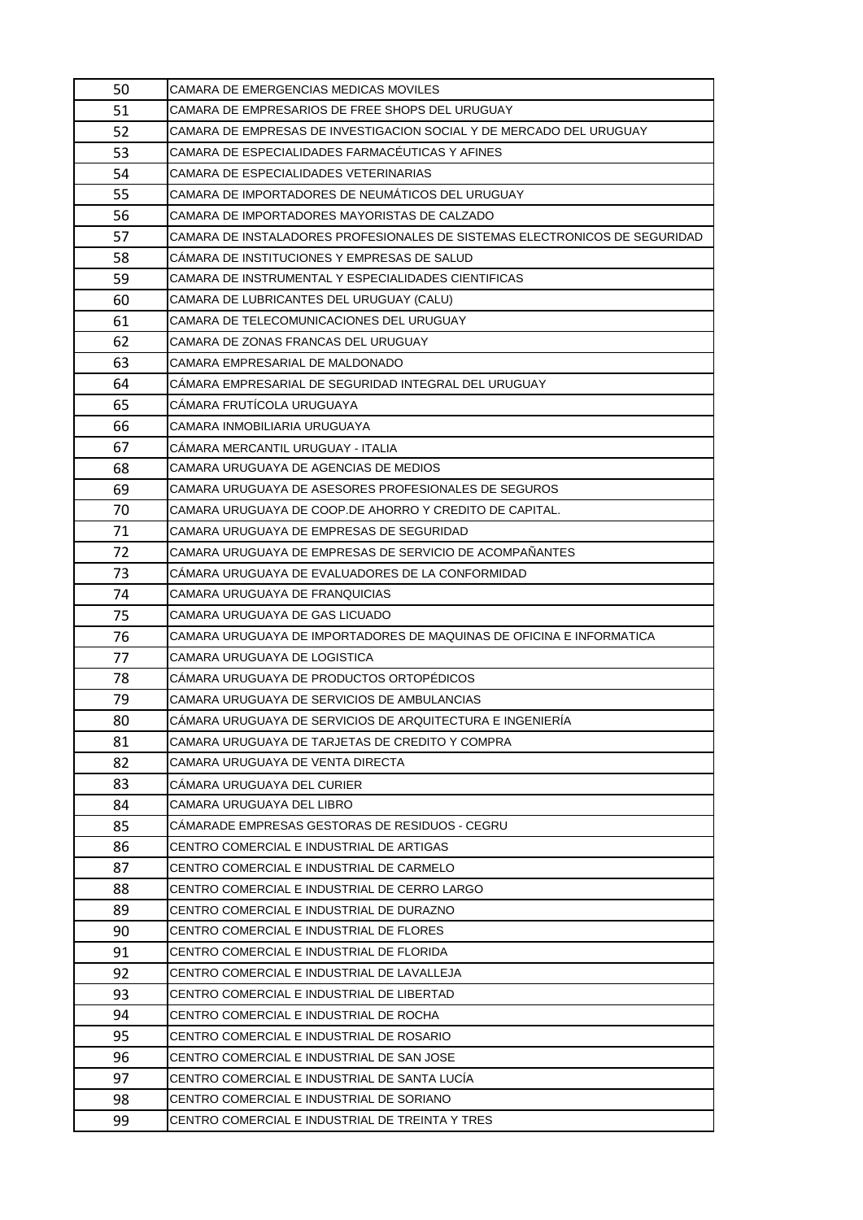| 50 | CAMARA DE EMERGENCIAS MEDICAS MOVILES                                      |
|----|----------------------------------------------------------------------------|
| 51 | CAMARA DE EMPRESARIOS DE FREE SHOPS DEL URUGUAY                            |
| 52 | CAMARA DE EMPRESAS DE INVESTIGACION SOCIAL Y DE MERCADO DEL URUGUAY        |
| 53 | CAMARA DE ESPECIALIDADES FARMACÉUTICAS Y AFINES                            |
| 54 | CAMARA DE ESPECIALIDADES VETERINARIAS                                      |
| 55 | CAMARA DE IMPORTADORES DE NEUMÁTICOS DEL URUGUAY                           |
| 56 | CAMARA DE IMPORTADORES MAYORISTAS DE CALZADO                               |
| 57 | CAMARA DE INSTALADORES PROFESIONALES DE SISTEMAS ELECTRONICOS DE SEGURIDAD |
| 58 | CAMARA DE INSTITUCIONES Y EMPRESAS DE SALUD                                |
| 59 | CAMARA DE INSTRUMENTAL Y ESPECIALIDADES CIENTIFICAS                        |
| 60 | CAMARA DE LUBRICANTES DEL URUGUAY (CALU)                                   |
| 61 | CAMARA DE TELECOMUNICACIONES DEL URUGUAY                                   |
| 62 | CAMARA DE ZONAS FRANCAS DEL URUGUAY                                        |
| 63 | CAMARA EMPRESARIAL DE MALDONADO                                            |
| 64 | CAMARA EMPRESARIAL DE SEGURIDAD INTEGRAL DEL URUGUAY                       |
| 65 | CAMARA FRUTICOLA URUGUAYA                                                  |
| 66 | CAMARA INMOBILIARIA URUGUAYA                                               |
| 67 | CÀMARA MERCANTIL URUGUAY - ITALIA                                          |
| 68 | CAMARA URUGUAYA DE AGENCIAS DE MEDIOS                                      |
| 69 | CAMARA URUGUAYA DE ASESORES PROFESIONALES DE SEGUROS                       |
| 70 | CAMARA URUGUAYA DE COOP.DE AHORRO Y CREDITO DE CAPITAL.                    |
| 71 | CAMARA URUGUAYA DE EMPRESAS DE SEGURIDAD                                   |
| 72 | CAMARA URUGUAYA DE EMPRESAS DE SERVICIO DE ACOMPAÑANTES                    |
| 73 | CAMARA URUGUAYA DE EVALUADORES DE LA CONFORMIDAD                           |
| 74 | CAMARA URUGUAYA DE FRANQUICIAS                                             |
| 75 | CAMARA URUGUAYA DE GAS LICUADO                                             |
| 76 | CAMARA URUGUAYA DE IMPORTADORES DE MAQUINAS DE OFICINA E INFORMATICA       |
| 77 | CAMARA URUGUAYA DE LOGISTICA                                               |
| 78 | CÁMARA URUGUAYA DE PRODUCTOS ORTOPÉDICOS                                   |
| 79 | CAMARA URUGUAYA DE SERVICIOS DE AMBULANCIAS                                |
| 80 | CAMARA URUGUAYA DE SERVICIOS DE ARQUITECTURA E INGENIERIA                  |
| 81 | CAMARA URUGUAYA DE TARJETAS DE CREDITO Y COMPRA                            |
| 82 | CAMARA URUGUAYA DE VENTA DIRECTA                                           |
| 83 | CÁMARA URUGUAYA DEL CURIER                                                 |
| 84 | CAMARA URUGUAYA DEL LIBRO                                                  |
| 85 | CÁMARADE EMPRESAS GESTORAS DE RESIDUOS - CEGRU                             |
| 86 | CENTRO COMERCIAL E INDUSTRIAL DE ARTIGAS                                   |
| 87 | CENTRO COMERCIAL E INDUSTRIAL DE CARMELO                                   |
| 88 | CENTRO COMERCIAL E INDUSTRIAL DE CERRO LARGO                               |
| 89 | CENTRO COMERCIAL E INDUSTRIAL DE DURAZNO                                   |
| 90 | CENTRO COMERCIAL E INDUSTRIAL DE FLORES                                    |
| 91 | CENTRO COMERCIAL E INDUSTRIAL DE FLORIDA                                   |
| 92 | CENTRO COMERCIAL E INDUSTRIAL DE LAVALLEJA                                 |
| 93 | CENTRO COMERCIAL E INDUSTRIAL DE LIBERTAD                                  |
| 94 | CENTRO COMERCIAL E INDUSTRIAL DE ROCHA                                     |
| 95 | CENTRO COMERCIAL E INDUSTRIAL DE ROSARIO                                   |
| 96 | CENTRO COMERCIAL E INDUSTRIAL DE SAN JOSE                                  |
| 97 | CENTRO COMERCIAL E INDUSTRIAL DE SANTA LUCIA                               |
| 98 | CENTRO COMERCIAL E INDUSTRIAL DE SORIANO                                   |
| 99 | CENTRO COMERCIAL E INDUSTRIAL DE TREINTA Y TRES                            |